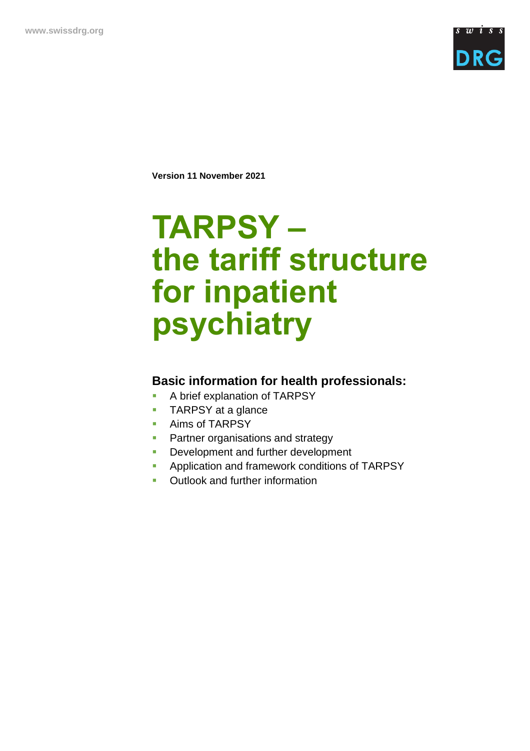

**Version 11 November 2021**

# **TARPSY – the tariff structure for inpatient psychiatry**

### **Basic information for health professionals:**

- A brief explanation of TARPSY
- TARPSY at a glance
- Aims of TARPSY
- **Partner organisations and strategy**
- **•** Development and further development
- **EXECUTE:** Application and framework conditions of TARPSY
- Outlook and further information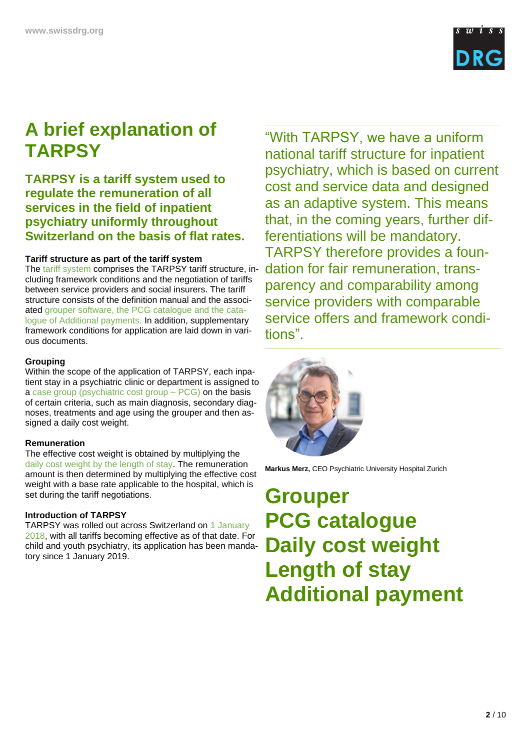

# **A brief explanation of TARPSY**

### **TARPSY is a tariff system used to regulate the remuneration of all services in the field of inpatient psychiatry uniformly throughout Switzerland on the basis of flat rates.**

### **Tariff structure as part of the tariff system**

The tariff system comprises the TARPSY tariff structure, including framework conditions and the negotiation of tariffs between service providers and social insurers. The tariff structure consists of the definition manual and the associated grouper software, the PCG catalogue and the catalogue of Additional payments. In addition, supplementary framework conditions for application are laid down in various documents.

### **Grouping**

Within the scope of the application of TARPSY, each inpatient stay in a psychiatric clinic or department is assigned to a case group (psychiatric cost group – PCG) on the basis of certain criteria, such as main diagnosis, secondary diagnoses, treatments and age using the grouper and then assigned a daily cost weight.

### **Remuneration**

The effective cost weight is obtained by multiplying the daily cost weight by the length of stay. The remuneration amount is then determined by multiplying the effective cost weight with a base rate applicable to the hospital, which is set during the tariff negotiations.

### **Introduction of TARPSY**

TARPSY was rolled out across Switzerland on 1 January 2018, with all tariffs becoming effective as of that date. For child and youth psychiatry, its application has been mandatory since 1 January 2019.

"With TARPSY, we have a uniform national tariff structure for inpatient psychiatry, which is based on current cost and service data and designed as an adaptive system. This means that, in the coming years, further differentiations will be mandatory. TARPSY therefore provides a foundation for fair remuneration, transparency and comparability among service providers with comparable service offers and framework conditions".



**Markus Merz,** CEO Psychiatric University Hospital Zurich

**Grouper PCG catalogue Daily cost weight Length of stay Additional payment**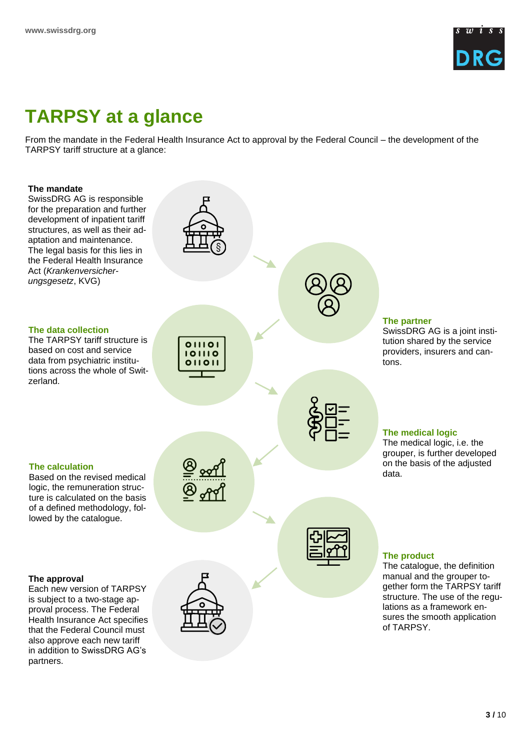

# **TARPSY at a glance**

From the mandate in the Federal Health Insurance Act to approval by the Federal Council – the development of the TARPSY tariff structure at a glance:

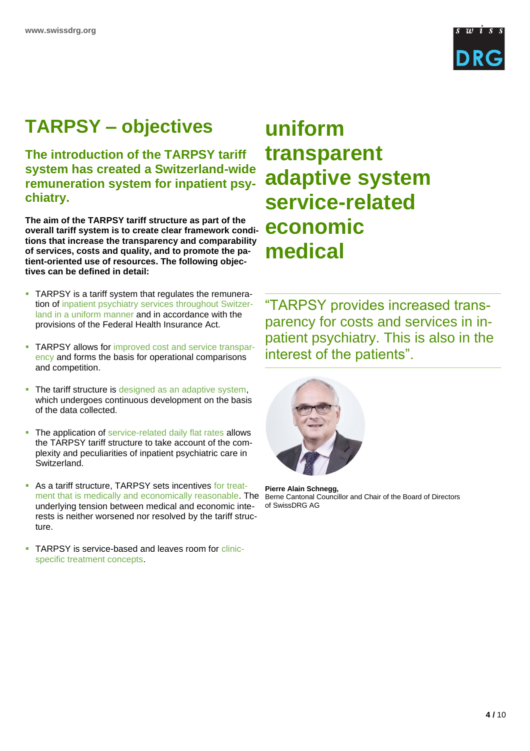

# **TARPSY – objectives**

**The introduction of the TARPSY tariff system has created a Switzerland-wide remuneration system for inpatient psychiatry.** 

**The aim of the TARPSY tariff structure as part of the overall tariff system is to create clear framework conditions that increase the transparency and comparability of services, costs and quality, and to promote the patient-oriented use of resources. The following objectives can be defined in detail:**

- **TARPSY** is a tariff system that regulates the remuneration of inpatient psychiatry services throughout Switzerland in a uniform manner and in accordance with the provisions of the Federal Health Insurance Act.
- **TARPSY allows for improved cost and service transpar**ency and forms the basis for operational comparisons and competition.
- **.** The tariff structure is designed as an adaptive system, which undergoes continuous development on the basis of the data collected.
- **.** The application of service-related daily flat rates allows the TARPSY tariff structure to take account of the complexity and peculiarities of inpatient psychiatric care in Switzerland.
- As a tariff structure, TARPSY sets incentives for treatment that is medically and economically reasonable. The underlying tension between medical and economic interests is neither worsened nor resolved by the tariff structure.
- TARPSY is service-based and leaves room for clinicspecific treatment concepts.

# **uniform transparent adaptive system service-related economic medical**

"TARPSY provides increased transparency for costs and services in inpatient psychiatry. This is also in the interest of the patients".



**Pierre Alain Schnegg,** Berne Cantonal Councillor and Chair of the Board of Directors of SwissDRG AG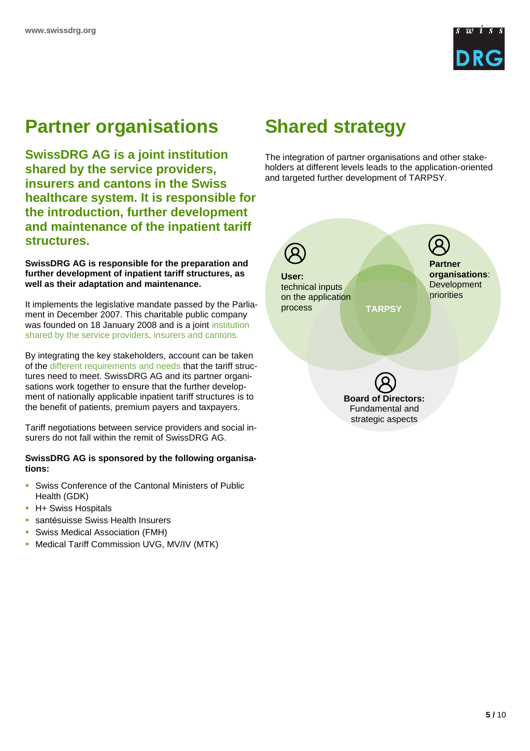

# **Partner organisations**

**SwissDRG AG is a joint institution shared by the service providers, insurers and cantons in the Swiss healthcare system. It is responsible for the introduction, further development and maintenance of the inpatient tariff structures.** 

**SwissDRG AG is responsible for the preparation and further development of inpatient tariff structures, as well as their adaptation and maintenance.** 

It implements the legislative mandate passed by the Parliament in December 2007. This charitable public company was founded on 18 January 2008 and is a joint institution shared by the service providers, insurers and cantons.

By integrating the key stakeholders, account can be taken of the different requirements and needs that the tariff structures need to meet. SwissDRG AG and its partner organisations work together to ensure that the further development of nationally applicable inpatient tariff structures is to the benefit of patients, premium payers and taxpayers.

Tariff negotiations between service providers and social insurers do not fall within the remit of SwissDRG AG.

### **SwissDRG AG is sponsored by the following organisations:**

- Swiss Conference of the Cantonal Ministers of Public Health (GDK)
- **H+ Swiss Hospitals**
- santésuisse Swiss Health Insurers
- Swiss Medical Association (FMH)
- Medical Tariff Commission UVG, MV/IV (MTK)

### **Shared strategy**

The integration of partner organisations and other stakeholders at different levels leads to the application-oriented and targeted further development of TARPSY.

**Partner organisations**: **Development** priorities **TARPSY User:** technical inputs on the application process

**Board of Directors:** Fundamental and strategic aspects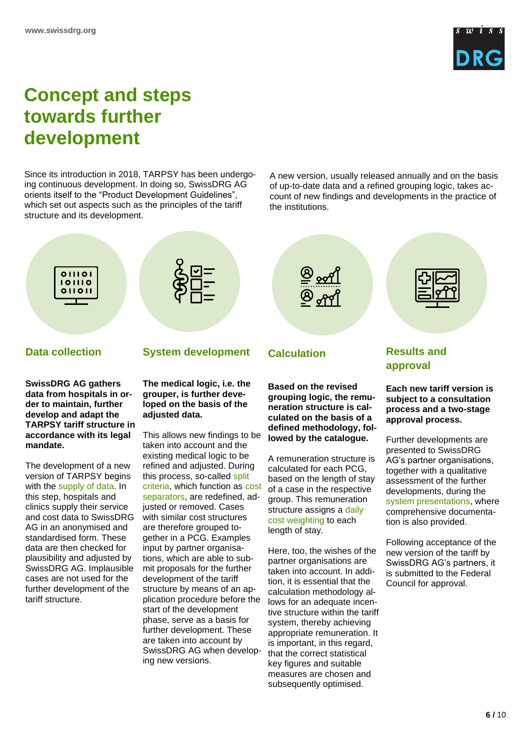

### **Concept and steps towards further development**

Since its introduction in 2018, TARPSY has been undergoing continuous development. In doing so, SwissDRG AG orients itself to the "Product Development Guidelines", which set out aspects such as the principles of the tariff structure and its development.

A new version, usually released annually and on the basis of up-to-date data and a refined grouping logic, takes account of new findings and developments in the practice of the institutions.



**der to maintain, further develop and adapt the TARPSY tariff structure in accordance with its legal mandate.** 

The development of a new version of TARPSY begins with the supply of data. In this step, hospitals and clinics supply their service and cost data to SwissDRG AG in an anonymised and standardised form. These data are then checked for plausibility and adjusted by SwissDRG AG. Implausible cases are not used for the further development of the tariff structure.

This allows new findings to be taken into account and the existing medical logic to be refined and adjusted. During this process, so-called split criteria, which function as cost separators, are redefined, adjusted or removed. Cases with similar cost structures are therefore grouped together in a PCG. Examples input by partner organisations, which are able to submit proposals for the further development of the tariff structure by means of an application procedure before the start of the development phase, serve as a basis for further development. These are taken into account by SwissDRG AG when developing new versions.

**adjusted data.** 

**neration structure is calculated on the basis of a defined methodology, followed by the catalogue.**

A remuneration structure is calculated for each PCG, based on the length of stay of a case in the respective group. This remuneration structure assigns a daily cost weighting to each length of stay.

Here, too, the wishes of the partner organisations are taken into account. In addition, it is essential that the calculation methodology allows for an adequate incentive structure within the tariff system, thereby achieving appropriate remuneration. It is important, in this regard, that the correct statistical key figures and suitable measures are chosen and subsequently optimised.

**Each new tariff version is process and a two-stage approval process.**

Further developments are presented to SwissDRG AG's partner organisations, together with a qualitative assessment of the further developments, during the system presentations, where comprehensive documentation is also provided.

Following acceptance of the new version of the tariff by SwissDRG AG's partners, it is submitted to the Federal Council for approval.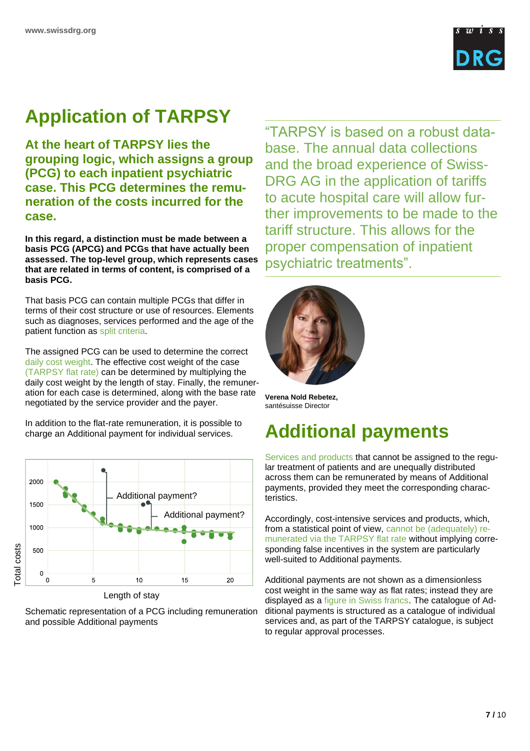

# **Application of TARPSY**

**At the heart of TARPSY lies the grouping logic, which assigns a group (PCG) to each inpatient psychiatric case. This PCG determines the remuneration of the costs incurred for the case.**

**In this regard, a distinction must be made between a basis PCG (APCG) and PCGs that have actually been assessed. The top-level group, which represents cases that are related in terms of content, is comprised of a basis PCG.** 

That basis PCG can contain multiple PCGs that differ in terms of their cost structure or use of resources. Elements such as diagnoses, services performed and the age of the patient function as split criteria.

The assigned PCG can be used to determine the correct daily cost weight. The effective cost weight of the case (TARPSY flat rate) can be determined by multiplying the daily cost weight by the length of stay. Finally, the remuneration for each case is determined, along with the base rate negotiated by the service provider and the payer.

In addition to the flat-rate remuneration, it is possible to charge an Additional payment for individual services.



Length of stay

Schematic representation of a PCG including remuneration and possible Additional payments

"TARPSY is based on a robust database. The annual data collections and the broad experience of Swiss-DRG AG in the application of tariffs to acute hospital care will allow further improvements to be made to the tariff structure. This allows for the proper compensation of inpatient psychiatric treatments".



**Verena Nold Rebetez,** santésuisse Director

# **Additional payments**

Services and products that cannot be assigned to the regular treatment of patients and are unequally distributed across them can be remunerated by means of Additional payments, provided they meet the corresponding characteristics.

Accordingly, cost-intensive services and products, which, from a statistical point of view, cannot be (adequately) remunerated via the TARPSY flat rate without implying corresponding false incentives in the system are particularly well-suited to Additional payments.

Additional payments are not shown as a dimensionless cost weight in the same way as flat rates; instead they are displayed as a figure in Swiss francs. The catalogue of Additional payments is structured as a catalogue of individual services and, as part of the TARPSY catalogue, is subject to regular approval processes.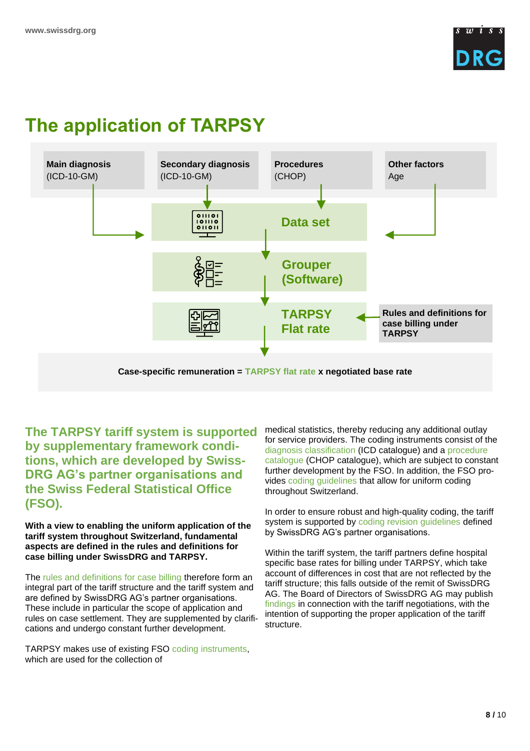

# **The application of TARPSY**



**The TARPSY tariff system is supported by supplementary framework conditions, which are developed by Swiss-DRG AG's partner organisations and the Swiss Federal Statistical Office (FSO).**

**With a view to enabling the uniform application of the tariff system throughout Switzerland, fundamental aspects are defined in the rules and definitions for case billing under SwissDRG and TARPSY.** 

The rules and definitions for case billing therefore form an integral part of the tariff structure and the tariff system and are defined by SwissDRG AG's partner organisations. These include in particular the scope of application and rules on case settlement. They are supplemented by clarifications and undergo constant further development.

TARPSY makes use of existing FSO coding instruments, which are used for the collection of

medical statistics, thereby reducing any additional outlay for service providers. The coding instruments consist of the diagnosis classification (ICD catalogue) and a procedure catalogue (CHOP catalogue), which are subject to constant further development by the FSO. In addition, the FSO provides coding guidelines that allow for uniform coding throughout Switzerland.

In order to ensure robust and high-quality coding, the tariff system is supported by coding revision guidelines defined by SwissDRG AG's partner organisations.

Within the tariff system, the tariff partners define hospital specific base rates for billing under TARPSY, which take account of differences in cost that are not reflected by the tariff structure; this falls outside of the remit of SwissDRG AG. The Board of Directors of SwissDRG AG may publish findings in connection with the tariff negotiations, with the intention of supporting the proper application of the tariff structure.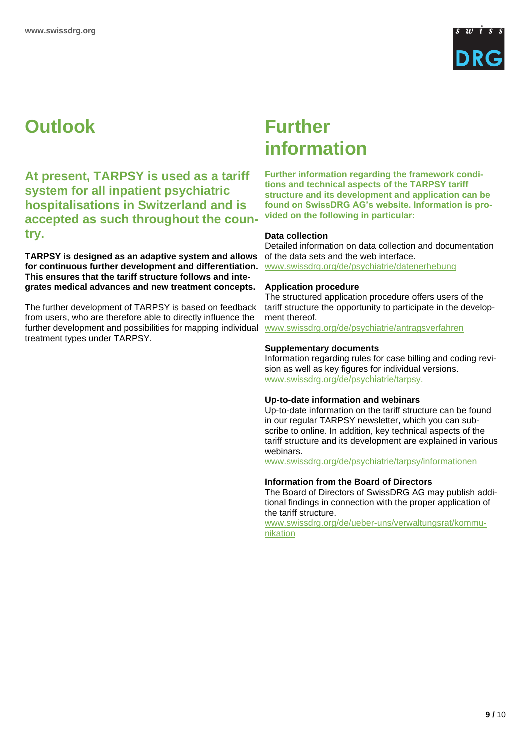

# **Outlook**

**At present, TARPSY is used as a tariff system for all inpatient psychiatric hospitalisations in Switzerland and is accepted as such throughout the country.** 

**TARPSY is designed as an adaptive system and allows for continuous further development and differentiation. This ensures that the tariff structure follows and integrates medical advances and new treatment concepts.** 

The further development of TARPSY is based on feedback from users, who are therefore able to directly influence the further development and possibilities for mapping individual treatment types under TARPSY.

### **Further information**

**Further information regarding the framework conditions and technical aspects of the TARPSY tariff structure and its development and application can be found on SwissDRG AG's website. Information is provided on the following in particular:**

### **Data collection**

Detailed information on data collection and documentation of the data sets and the web interface. www.swissdrg.org/de/psychiatrie/datenerhebung

### **Application procedure**

The structured application procedure offers users of the tariff structure the opportunity to participate in the development thereof.

www.swissdrg.org/de/psychiatrie/antragsverfahren

### **Supplementary documents**

Information regarding rules for case billing and coding revision as well as key figures for individual versions. www.swissdrg.org/de/psychiatrie/tarpsy.

### **Up-to-date information and webinars**

Up-to-date information on the tariff structure can be found in our regular TARPSY newsletter, which you can subscribe to online. In addition, key technical aspects of the tariff structure and its development are explained in various webinars.

www.swissdrg.org/de/psychiatrie/tarpsy/informationen

### **Information from the Board of Directors**

The Board of Directors of SwissDRG AG may publish additional findings in connection with the proper application of the tariff structure.

[www.swissdrg.org/de/ueber-uns/verwaltungsrat/kommu](https://www.swissdrg.org/de/ueber-uns/verwaltungsrat/kommunikation)[nikation](https://www.swissdrg.org/de/ueber-uns/verwaltungsrat/kommunikation)